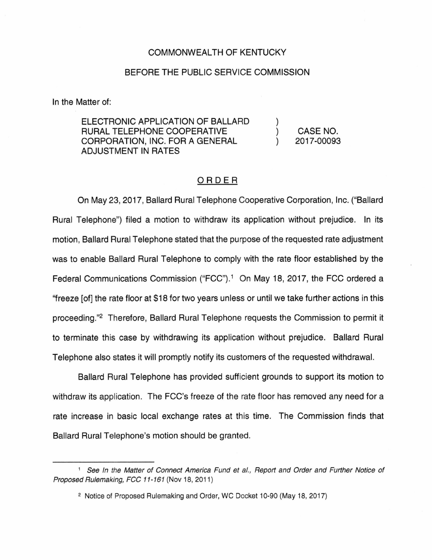## COMMONWEALTH OF KENTUCKY

## BEFORE THE PUBLIC SERVICE COMMISSION

In the Matter of:

ELECTRONIC APPLICATION OF BALLARD RURAL TELEPHONE COOPERATIVE CORPORATION, INC. FOR A GENERAL ADJUSTMENT IN RATES

CASE NO. 2017-00093

) ) )

## ORDER

On May 23, 2017, Ballard Rural Telephone Cooperative Corporation, Inc. ("Ballard Rural Telephone") filed a motion to withdraw its application without prejudice. In its motion, Ballard Rural Telephone stated that the purpose of the requested rate adjustment was to enable Ballard Rural Telephone to comply with the rate floor established by the Federal Communications Commission ("FCC").<sup>1</sup> On May 18, 2017, the FCC ordered a ''freeze [of] the rate floor at \$18 for two years unless or until we take further actions in this proceeding."2 Therefore, Ballard Rural Telephone requests the Commission to permit it to terminate this case by withdrawing its application without prejudice. Ballard Rural Telephone also states it will promptly notify its customers of the requested withdrawal.

Ballard Rural Telephone has provided sufficient grounds to support its motion to withdraw its application. The FCC's freeze of the rate floor has removed any need for a rate increase in basic local exchange rates at this time. The Commission finds that Ballard Rural Telephone's motion should be granted.

<sup>&</sup>lt;sup>1</sup> See In the Matter of Connect America Fund et al., Report and Order and Further Notice of Proposed Rulemaking, FCC 11-161 (Nov 18, 2011)

<sup>2</sup> Notice of Proposed Rulemaking and Order, WC Docket 10-90 (May 18, 2017)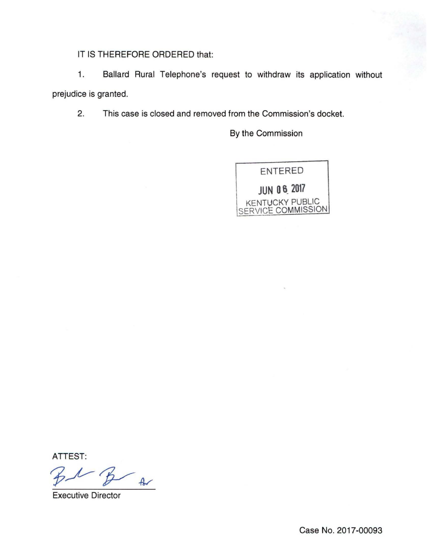IT IS THEREFORE ORDERED that:

1. Ballard Rural Telephone's request to withdraw its application without prejudice is granted.

2. This case is closed and removed from the Commission's docket.

By the Commission



ATTEST:

 $f_{\rm b}$ 

Executive Director